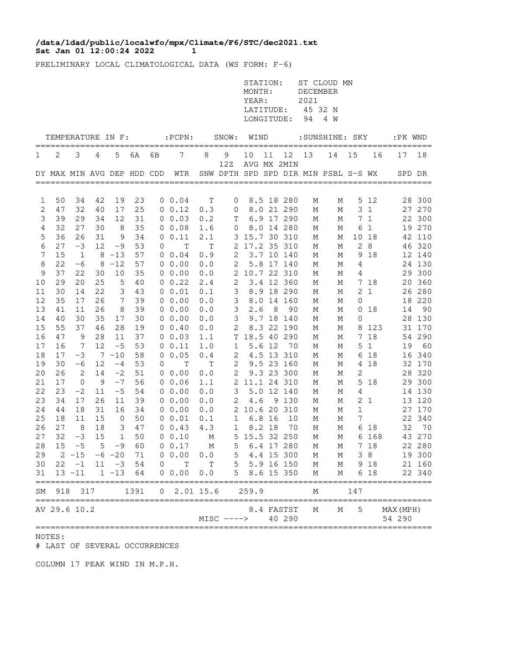## **Sat Jan 01 12:00:24 2022 1 /data/ldad/public/localwfo/mpx/Climate/F6/STC/dec2021.txt**

PRELIMINARY LOCAL CLIMATOLOGICAL DATA (WS FORM: F-6)

|          |          |                          |          |                            |          |             |                      |                                             |              | STATION:<br>MONTH:<br>YEAR:<br>LATITUDE:<br>LONGITUDE: |        |                           | DECEMBER<br>2021<br>45 32 N<br>94 | ST CLOUD MN<br>4 W                   |              |              |           |            |
|----------|----------|--------------------------|----------|----------------------------|----------|-------------|----------------------|---------------------------------------------|--------------|--------------------------------------------------------|--------|---------------------------|-----------------------------------|--------------------------------------|--------------|--------------|-----------|------------|
|          |          |                          |          | TEMPERATURE IN F:          |          | =========   | $:$ PCPN $:$         | =======                                     | SNOW:        | WIND                                                   |        | ========                  |                                   | :SUNSHINE: SKY                       |              |              | :PK WND   |            |
| 1        | 2        | 3                        | 4        | 5                          | 6A       | 6В          | 7                    | 8                                           | 9            | 10                                                     | 11     | 12                        | 13                                | 14                                   | 15           | 16           | 17        | 18         |
|          |          |                          |          | DY MAX MIN AVG DEP HDD CDD |          |             | WTR                  |                                             | 12Z          |                                                        |        | AVG MX 2MIN               |                                   | SNW DPTH SPD SPD DIR MIN PSBL S-S WX |              |              | SPD DR    |            |
| 1        | 50       | 34                       | 42       | 19                         | 23       |             | $0 \t 0.04$          | $\mathbf T$                                 | 0            |                                                        |        | 8.5 18 280                | М                                 | Μ                                    | 5            | 12           | 28        | 300        |
| 2        | 47       | 32                       | 40       | 17                         | 25       |             | 0 0.12               | 0.3                                         | 0            |                                                        |        | 8.0 21 290                | М                                 | М                                    | 3            | $\mathbf{1}$ | 27        | 270        |
| 3        | 39       | 29                       | 34       | 12                         | 31       |             | $0 \t 0.03$          | 0.2                                         | Τ            | 6.9                                                    |        | 17 290                    | М                                 | М                                    | 7            | $\mathbf{1}$ | 22        | 300        |
| 4        | 32       | 27                       | 30       | 8                          | 35       |             | 00.08                | 1.6                                         | 0            |                                                        |        | 8.0 14 280                | М                                 | Μ                                    | 6            | $\mathbf{1}$ | 19        | 270        |
| 5        | 36       | 26                       | 31       | 9                          | 34       |             | 0 0.11               | 2.1                                         | 3            | 15.7 30                                                |        | 310                       | М                                 | Μ                                    | 10           | 18           | 42        | 110        |
| 6        | 27       | $-3$                     | 12       | $-9$                       | 53       | 0           | $\mathbb T$          | $\mathbf T$                                 | 2            | 17.2 35                                                |        | 310                       | М                                 | М                                    | $\mathbf{2}$ | 8            | 46        | 320        |
| 7        | 15       | 1                        | 8        | $-13$                      | 57       | 0           | 0.04                 | 0.9                                         | 2            |                                                        |        | 3.7 10 140                | М                                 | М                                    | 9            | 18           |           | 12 140     |
| 8        | 22<br>37 | $-6$<br>22               | 8        | $-12$<br>10                | 57       |             | $0\;\;0.00$<br>00.00 | 0.0                                         | 2            |                                                        |        | 5.8 17 140                | М                                 | Μ                                    | 4            |              | 24<br>29  | 130<br>300 |
| 9<br>10  | 29       | 20                       | 30<br>25 | 5                          | 35<br>40 |             | $0 \t 0.22$          | 0.0<br>2.4                                  | 2<br>2       |                                                        |        | 10.7 22 310<br>3.4 12 360 | М<br>М                            | Μ<br>М                               | 4<br>7       | 18           | 20        | 360        |
| 11       | 30       | 14                       | 22       | 3                          | 43       |             | 00.01                | $\ensuremath{\text{o}} \mathbin{\text{.1}}$ | 3            |                                                        | 8.9 18 | 290                       | М                                 | Μ                                    | 2            | $\mathbf{1}$ | 26        | 280        |
| 12       | 35       | 17                       | 26       | 7                          | 39       |             | 0, 0.00              | 0.0                                         | 3            | 8.0                                                    | 14     | 160                       | М                                 | М                                    | 0            |              | 18        | 220        |
| 13       | 41       | 11                       | 26       | 8                          | 39       |             | 00.00                | 0.0                                         | 3            | 2.6                                                    | 8      | 90                        | М                                 | М                                    | 0            | 18           | 14        | 90         |
| 14       | 40       | 30                       | 35       | 17                         | 30       |             | 00.00                | 0.0                                         | 3            |                                                        |        | 9.7 18 140                | М                                 | Μ                                    | 0            |              | 28        | 130        |
| 15       | 55       | 37                       | 46       | 28                         | 19       |             | $0 \t 0.40$          | 0.0                                         | 2            |                                                        | 8.3 22 | 190                       | М                                 | М                                    | 8            | 123          | 31        | 170        |
| 16       | 47       | 9                        | 28       | 11                         | 37       |             | 0 0.03               | 1.1                                         | Τ            | 18.5 40                                                |        | 290                       | М                                 | М                                    | 7            | 18           | 54        | 290        |
| 17       | 16       | 7                        | 12       | $-5$                       | 53       |             | 0 0.11               | $1.0$                                       | 1            |                                                        | 5.6 12 | 70                        | М                                 | Μ                                    | 5            | $\mathbf{1}$ | 19        | 60         |
| 18       | 17       | $-3$                     |          | $7 - 10$                   | 58       |             | 0 0.05               | 0.4                                         | 2            |                                                        | 4.5 13 | 310                       | М                                 | М                                    | 6            | 18           | 16        | 340        |
| 19       | 30       | $-6$                     | 12       | $-4$                       | 53       | 0           | Т                    | T                                           | 2            |                                                        | 9.523  | 160                       | М                                 | Μ                                    | 4            | 18           | 32        | 170        |
| 20       | 26       | 2                        | 14       | $-2$                       | 51       |             | $0\;\;0.00$          | 0.0                                         | 2            |                                                        | 9.323  | 300                       | М                                 | Μ                                    | 2            |              | 28        | 320        |
| 21<br>22 | 17<br>23 | $\mathbf{0}$<br>$-2$     | 9<br>11  | $-7$<br>$-5$               | 56<br>54 |             | 00.06<br>00.00       | 1.1<br>0.0                                  | 2<br>3       |                                                        | 5.012  | 11.1 24 310<br>140        | М<br>М                            | Μ<br>М                               | 5<br>4       | 18           | 29<br>14  | 300<br>130 |
| 23       | 34       | 17                       | 26       | 11                         | 39       |             | 0, 0.00              | 0.0                                         | 2            | 4.6                                                    | 9      | 130                       | М                                 | Μ                                    | 2            | 1            | 13        | 120        |
| 24       | 44       | 18                       | 31       | 16                         | 34       |             | 00.00                | 0.0                                         | 2            | 10.6 20                                                |        | 310                       | М                                 | М                                    | 1            |              | 27        | 170        |
| 25       | 18       | 11                       | 15       | $\mathsf{O}\xspace$        | 50       |             | 0 0.01               | 0.1                                         | 1            |                                                        | 6.8 16 | 10                        | М                                 | М                                    | 7            |              | 22        | 340        |
| 26       | 27       | 8                        | 18       | 3                          | 47       |             | $0 \t 0.43$          | 4.3                                         | 1            |                                                        | 8.2 18 | 70                        | М                                 | М                                    | 6            | 18           | 32        | 70         |
| 27       | 32       | $-3$                     | 15       | 1                          | 50       |             | 0 0.10               | М                                           | 5            |                                                        |        | 15.5 32 250               | М                                 | М                                    | 6            | 168          | 43        | 270        |
| 28       | 15       | $-5$                     | 5        | -9                         | 60       |             | 00.17                | М                                           | 5            |                                                        |        | 6.4 17 280                | М                                 | М                                    | 7            | 18           |           | 22 280     |
| 29       |          | $2 - 15$                 |          | $-6 - 20$                  | 71       |             | 0 0.00               | 0.0                                         | 5            |                                                        |        | 4.4 15 300                | М                                 | М                                    |              | 38           |           | 19 300     |
| 30       |          | $22 - 1$                 |          | $11 - 3$                   | 54       | $\mathbf 0$ | $\mathbf T$          | T                                           | 5            |                                                        |        | 5.9 16 150                | М                                 | М                                    |              | 9 18         |           | 21 160     |
| 31       |          | $13 - 11$                |          | $1 - 13$                   | 64       |             | 0 0.00               | 0.0                                         | 5            |                                                        |        | 8.6 15 350                | М                                 | М                                    |              | 6 18         |           | 22 340     |
| SΜ       | 918      | 317                      |          |                            | 1391     | 0           | 2.01 15.6            |                                             |              | 259.9                                                  |        |                           | М                                 |                                      | 147          |              |           |            |
|          |          | ========<br>AV 29.6 10.2 |          |                            |          |             |                      |                                             |              |                                                        |        | 8.4 FASTST                | М                                 | М                                    | 5            |              | MAX (MPH) |            |
|          |          |                          |          |                            |          |             |                      |                                             | $MISC$ ----> | =================                                      |        | 40 290                    |                                   |                                      |              |              | 54 290    |            |

NOTES:

# LAST OF SEVERAL OCCURRENCES

COLUMN 17 PEAK WIND IN M.P.H.